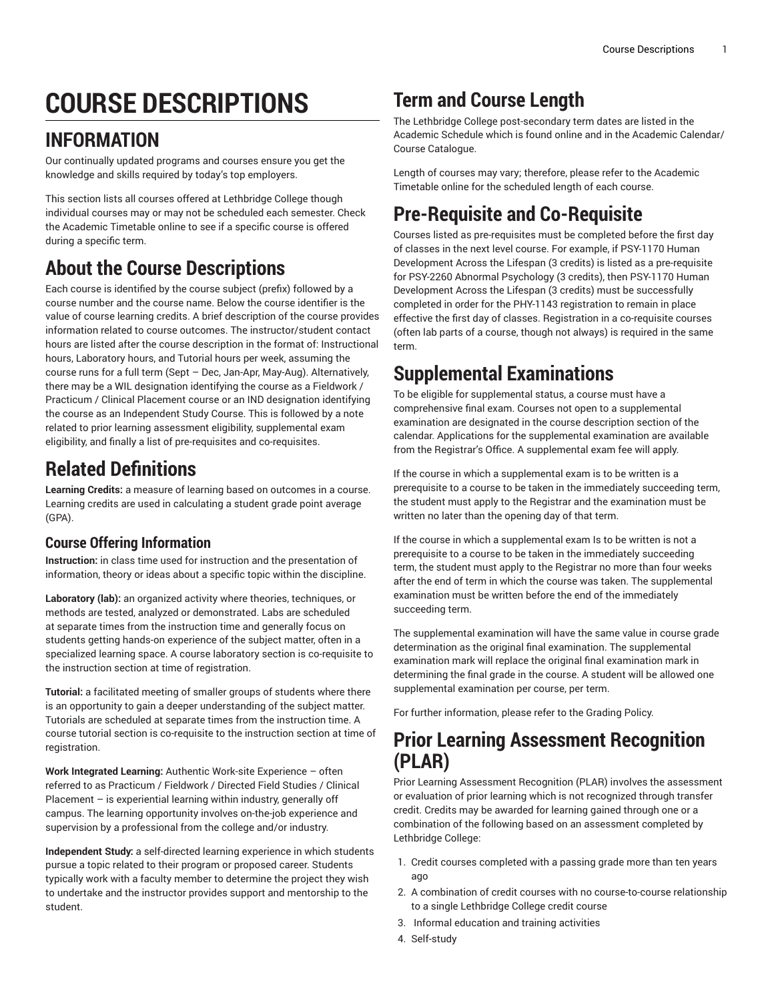# **COURSE DESCRIPTIONS**

# **INFORMATION**

Our continually updated programs and courses ensure you get the knowledge and skills required by today's top employers.

This section lists all courses offered at Lethbridge College though individual courses may or may not be scheduled each semester. Check the Academic Timetable online to see if a specific course is offered during a specific term.

# **About the Course Descriptions**

Each course is identified by the course subject (prefix) followed by a course number and the course name. Below the course identifier is the value of course learning credits. A brief description of the course provides information related to course outcomes. The instructor/student contact hours are listed after the course description in the format of: Instructional hours, Laboratory hours, and Tutorial hours per week, assuming the course runs for a full term (Sept – Dec, Jan-Apr, May-Aug). Alternatively, there may be a WIL designation identifying the course as a Fieldwork / Practicum / Clinical Placement course or an IND designation identifying the course as an Independent Study Course. This is followed by a note related to prior learning assessment eligibility, supplemental exam eligibility, and finally a list of pre-requisites and co-requisites.

### **Related Definitions**

**Learning Credits:** a measure of learning based on outcomes in a course. Learning credits are used in calculating a student grade point average (GPA).

### **Course Offering Information**

**Instruction:** in class time used for instruction and the presentation of information, theory or ideas about a specific topic within the discipline.

**Laboratory (lab):** an organized activity where theories, techniques, or methods are tested, analyzed or demonstrated. Labs are scheduled at separate times from the instruction time and generally focus on students getting hands-on experience of the subject matter, often in a specialized learning space. A course laboratory section is co-requisite to the instruction section at time of registration.

**Tutorial:** a facilitated meeting of smaller groups of students where there is an opportunity to gain a deeper understanding of the subject matter. Tutorials are scheduled at separate times from the instruction time. A course tutorial section is co-requisite to the instruction section at time of registration.

**Work Integrated Learning:** Authentic Work-site Experience – often referred to as Practicum / Fieldwork / Directed Field Studies / Clinical Placement  $-$  is experiential learning within industry, generally off campus. The learning opportunity involves on-the-job experience and supervision by a professional from the college and/or industry.

**Independent Study:** a self-directed learning experience in which students pursue a topic related to their program or proposed career. Students typically work with a faculty member to determine the project they wish to undertake and the instructor provides support and mentorship to the student.

# **Term and Course Length**

The Lethbridge College post-secondary term dates are listed in the Academic Schedule which is found online and in the Academic Calendar/ Course Catalogue.

Length of courses may vary; therefore, please refer to the Academic Timetable online for the scheduled length of each course.

# **Pre-Requisite and Co-Requisite**

Courses listed as pre-requisites must be completed before the first day of classes in the next level course. For example, if PSY-1170 Human Development Across the Lifespan (3 credits) is listed as a pre-requisite for PSY-2260 Abnormal Psychology (3 credits), then PSY-1170 Human Development Across the Lifespan (3 credits) must be successfully completed in order for the PHY-1143 registration to remain in place effective the first day of classes. Registration in a co-requisite courses (often lab parts of a course, though not always) is required in the same term.

# **Supplemental Examinations**

To be eligible for supplemental status, a course must have a comprehensive final exam. Courses not open to a supplemental examination are designated in the course description section of the calendar. Applications for the supplemental examination are available from the Registrar's Office. A supplemental exam fee will apply.

If the course in which a supplemental exam is to be written is a prerequisite to a course to be taken in the immediately succeeding term, the student must apply to the Registrar and the examination must be written no later than the opening day of that term.

If the course in which a supplemental exam Is to be written is not a prerequisite to a course to be taken in the immediately succeeding term, the student must apply to the Registrar no more than four weeks after the end of term in which the course was taken. The supplemental examination must be written before the end of the immediately succeeding term.

The supplemental examination will have the same value in course grade determination as the original final examination. The supplemental examination mark will replace the original final examination mark in determining the final grade in the course. A student will be allowed one supplemental examination per course, per term.

For further information, please refer to the Grading Policy.

### **Prior Learning Assessment Recognition (PLAR)**

Prior Learning Assessment Recognition (PLAR) involves the assessment or evaluation of prior learning which is not recognized through transfer credit. Credits may be awarded for learning gained through one or a combination of the following based on an assessment completed by Lethbridge College:

- 1. Credit courses completed with a passing grade more than ten years ago
- 2. A combination of credit courses with no course-to-course relationship to a single Lethbridge College credit course
- 3. Informal education and training activities
- 4. Self-study